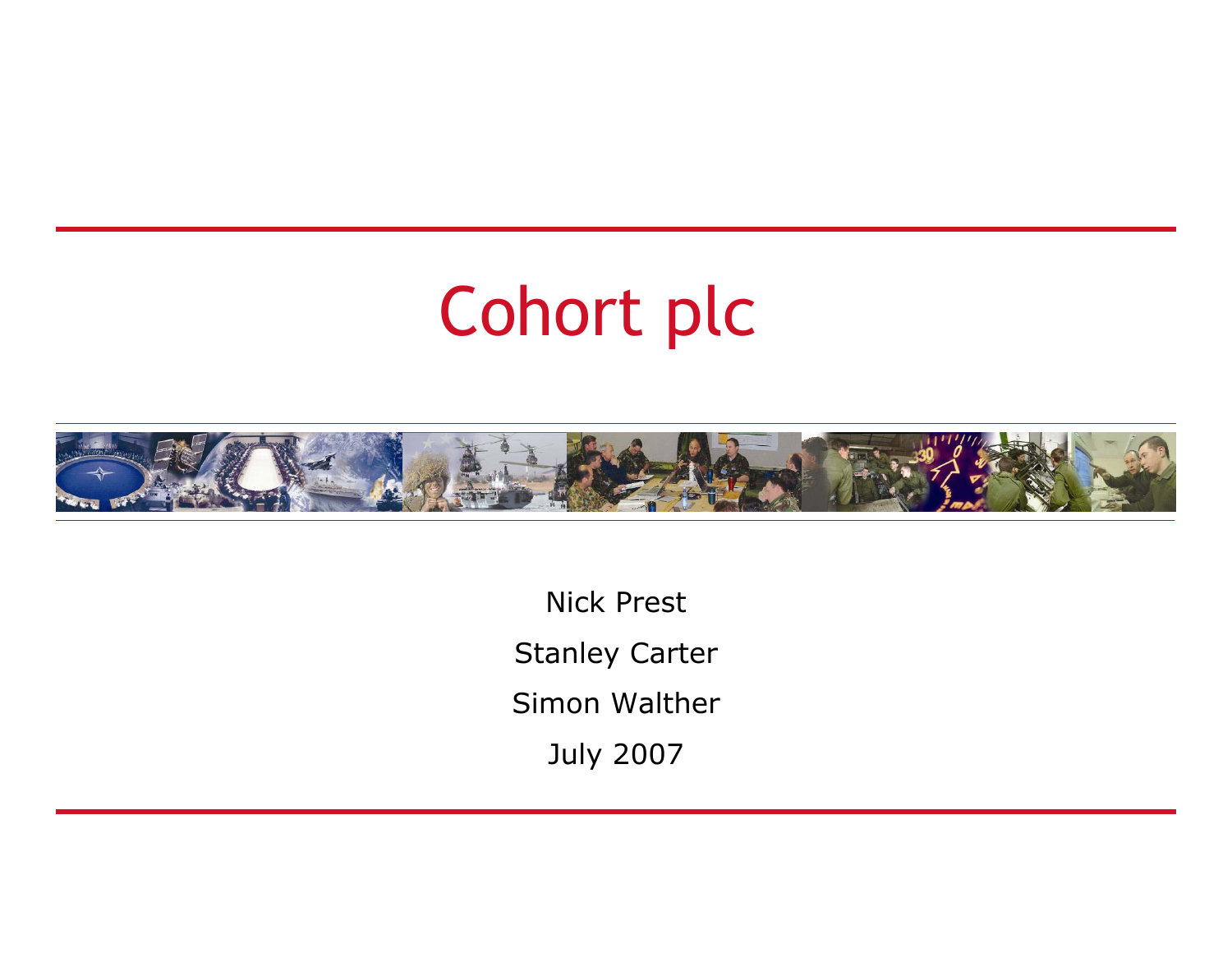# Cohort plc



Nick Prest Stanley Carter Simon Walther J uly 2007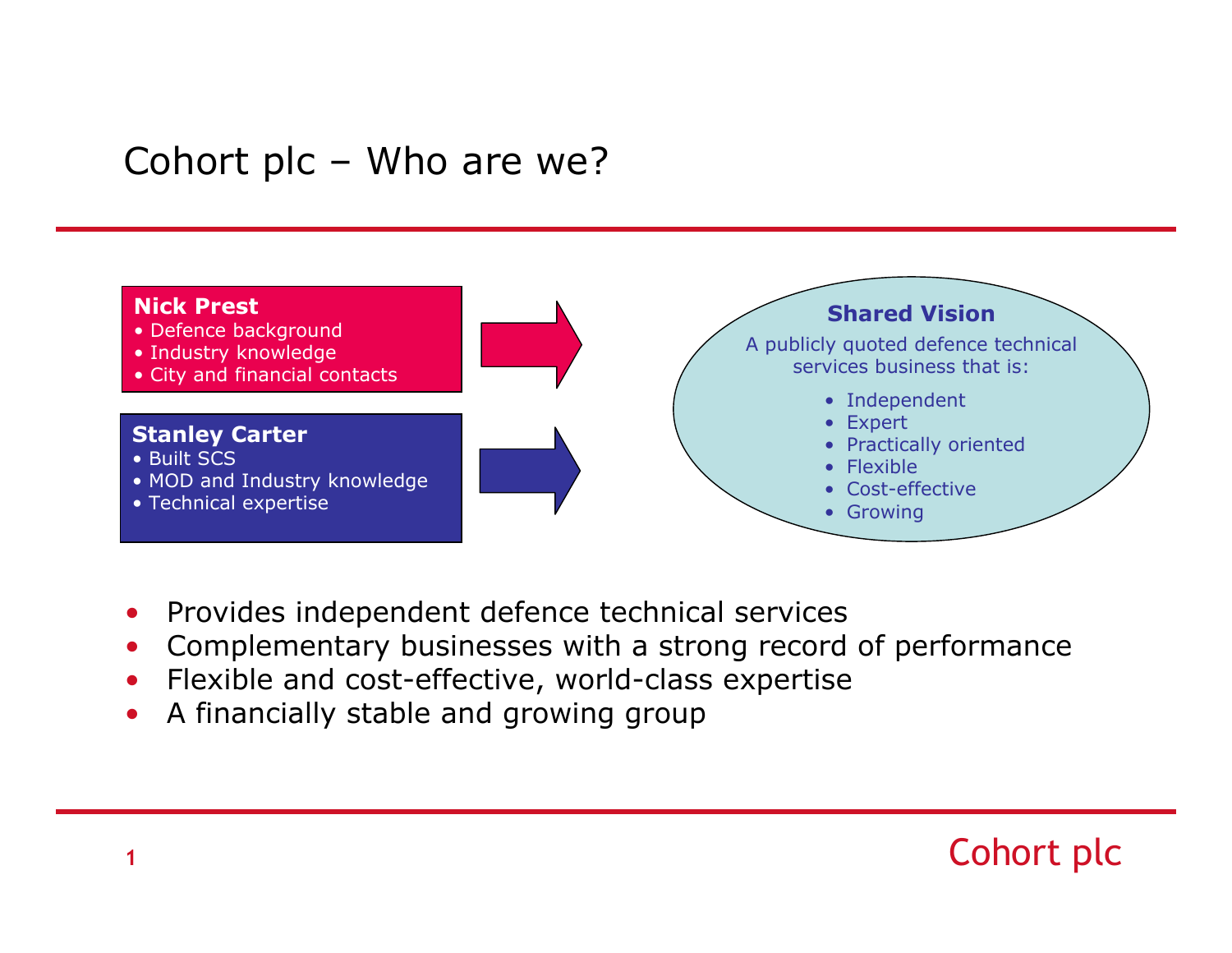#### Cohort plc – Who are we?



- •Provides independent defence technical services
- •Complementary businesses with a strong record of performance
- •Flexible and cost-effective, world-class expertise
- •A financially stable and growing group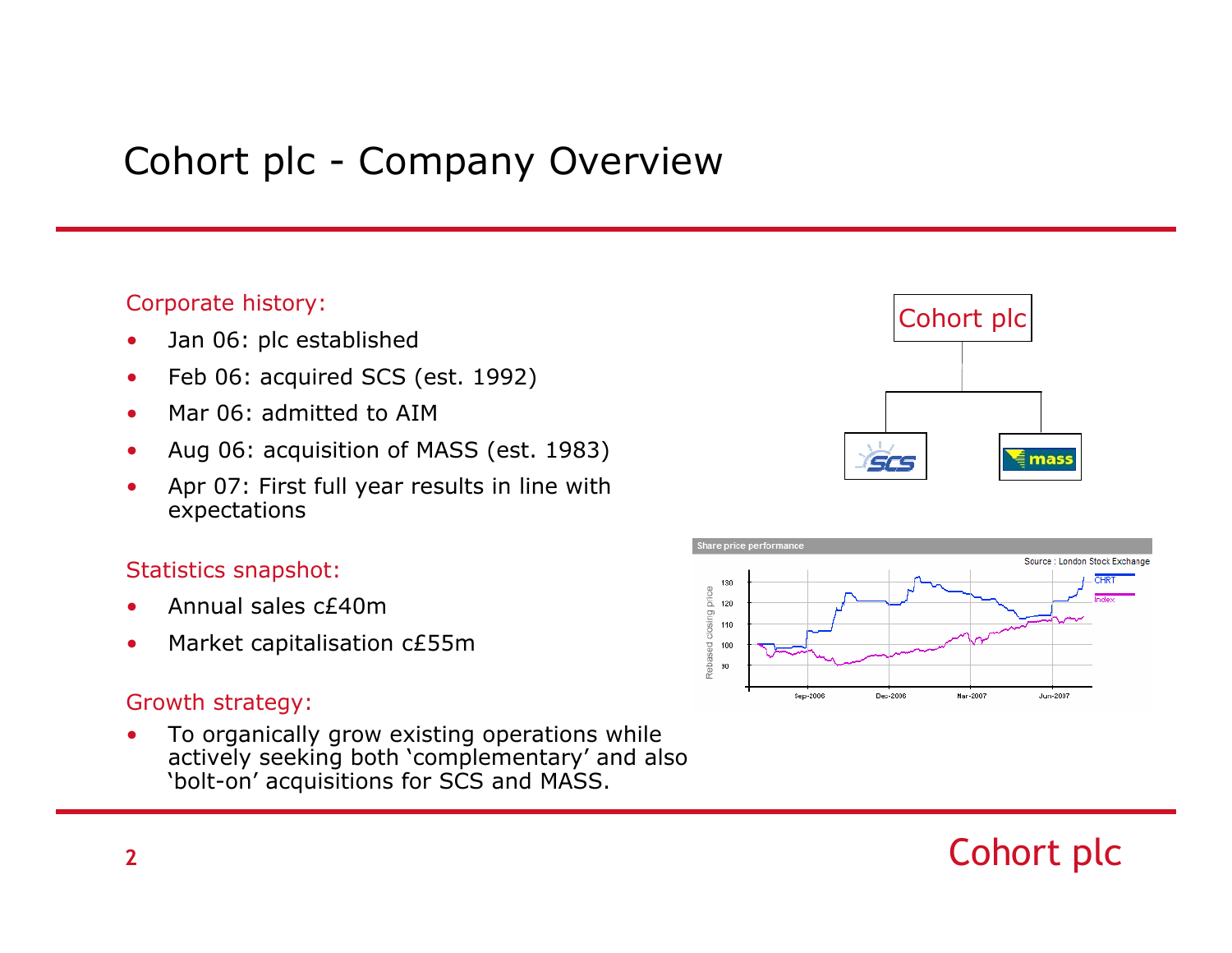#### Cohort plc - Company Overview

- •Jan 06: plc established
- •Feb 06: acquired SCS (est. 1992)
- •Mar 06: admitted to AIM
- •Aug 06: acquisition of MASS (est. 1983)
- • Apr 07: First full year results in line with expectations

#### Statistics snapshot:

- •Annual sales c£40m
- •Market capitalisation c£55m

#### Growth strategy:

• To organically grow existing operations while actively seeking both 'complementary' and also 'bolt-on' acquisitions for SCS and MASS.



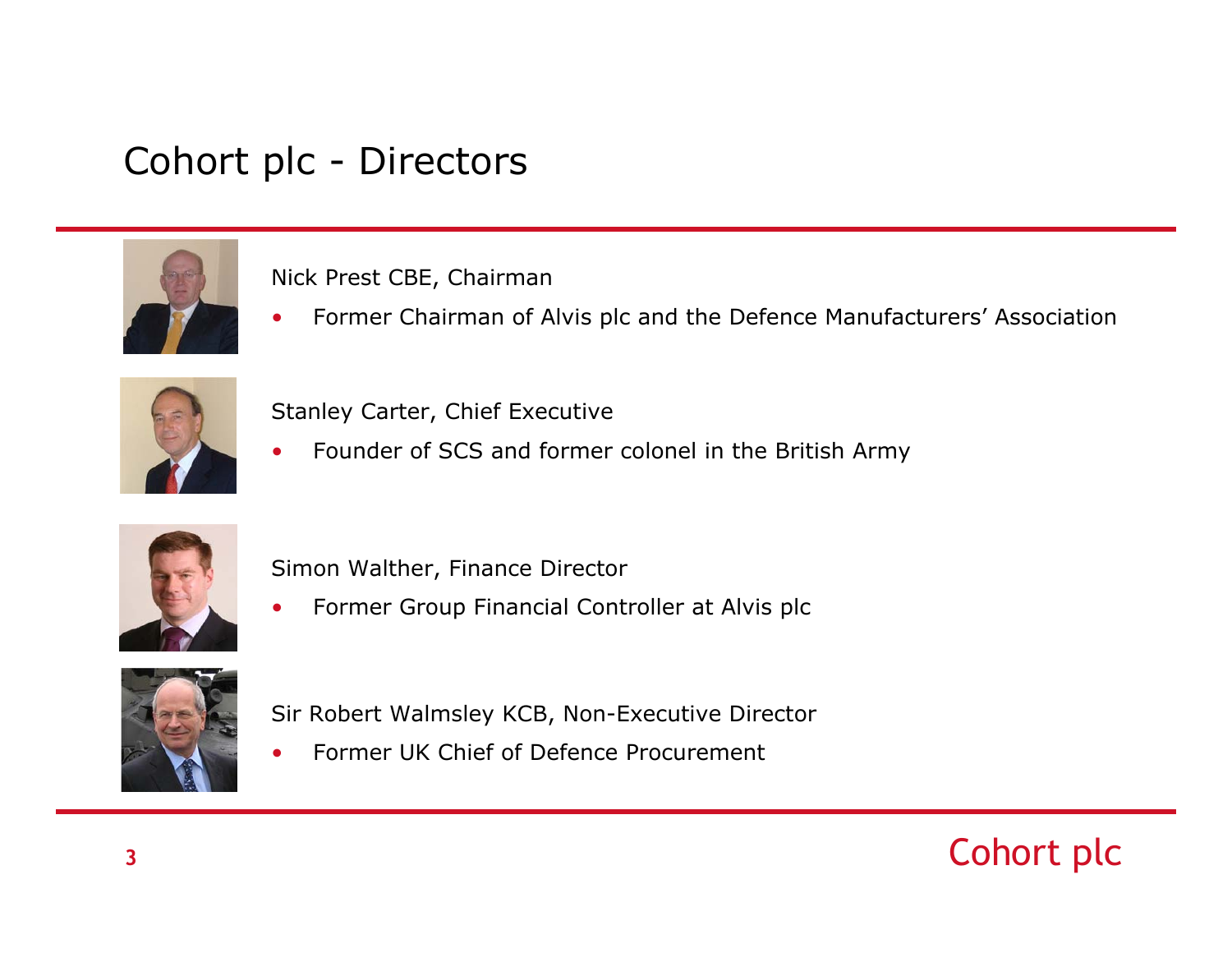#### Cohort plc - Directors



Nick Prest CBE, Chairman

•Former Chairman of Alvis plc and the Defence Manufacturers' Association



Stanley Carter, Chief Executive

•Founder of SCS and former colonel in the British Army



Simon Walther, Finance Director

•Former Group Financial Controller at Alvis plc



Sir Robert Walmsley KCB, Non-Executive Director

•Former UK Chief of Defence Procurement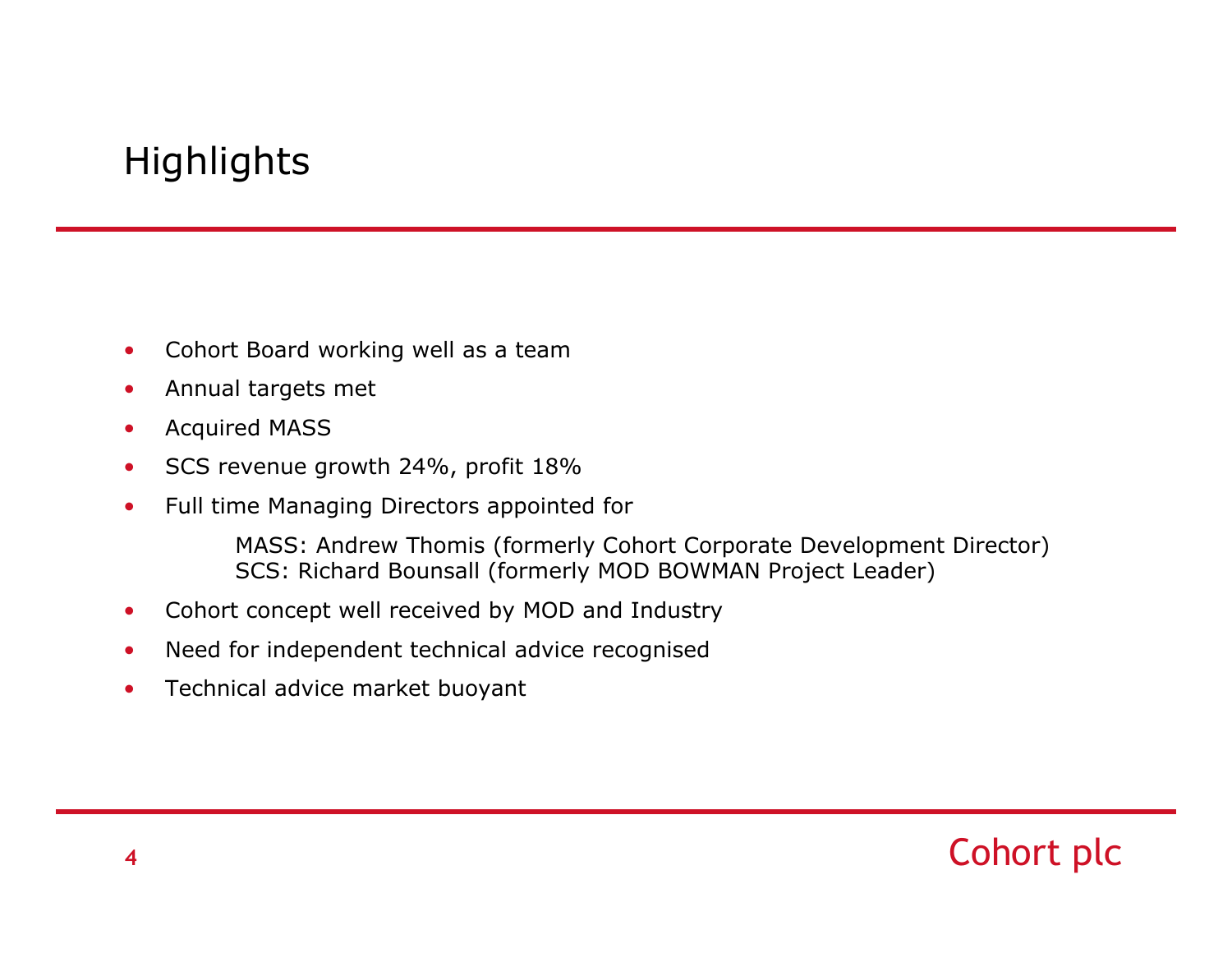#### **Highlights**

- •Cohort Board working well as a team
- •Annual targets met
- •Acquired MASS
- •SCS revenue growth 24%, profit 18%
- •Full time Managing Directors appointed for

MASS: Andrew Thomis (formerly Cohort Corporate Development Director) SCS: Richard Bounsall (formerly MOD BOWMAN Project Leader)

- •Cohort concept well received by MOD and Industry
- •Need for independent technical advice recognised
- •Technical advice market buoyant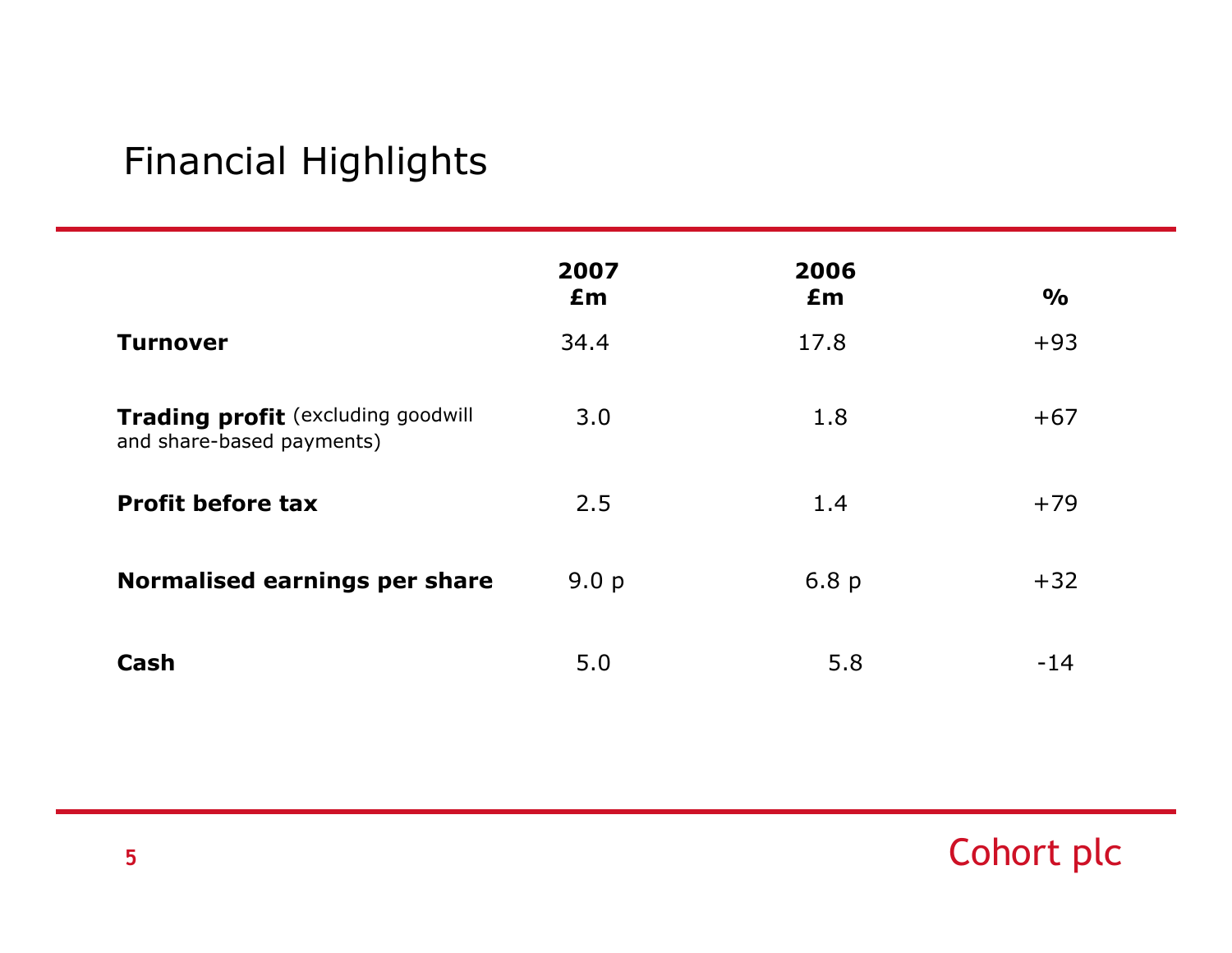#### Financial Highlights

|                                                                 | 2007<br>Em | 2006<br>Em       | $\frac{1}{2}$ |
|-----------------------------------------------------------------|------------|------------------|---------------|
| <b>Turnover</b>                                                 | 34.4       | 17.8             | $+93$         |
| Trading profit (excluding goodwill<br>and share-based payments) | 3.0        | 1.8              | $+67$         |
| <b>Profit before tax</b>                                        | 2.5        | 1.4              | $+79$         |
| Normalised earnings per share                                   | 9.0 p      | 6.8 <sub>p</sub> | $+32$         |
| Cash                                                            | 5.0        | 5.8              | $-14$         |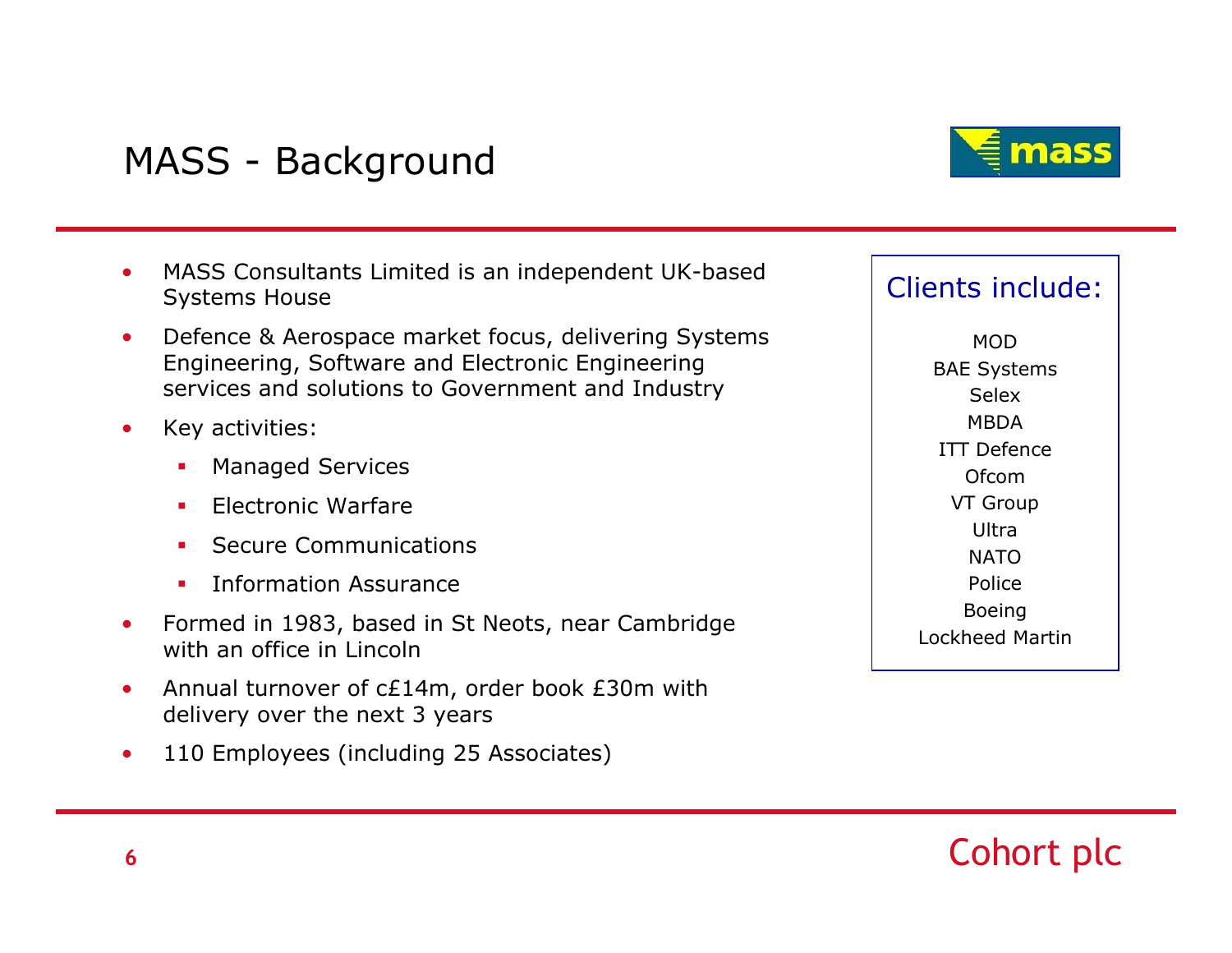#### MASS - Background



- • MASS Consultants Limited is an independent UK-based Systems House
- • Defence & Aerospace market focus, delivering Systems Engineering, Software and Electronic Engineering services and solutions to Government and Industry
- • Key activities:
	- Г Managed Services
	- Electronic Warfare
	- L Secure Communications
	- Information Assurance
- • Formed in 1983, based in St Neots, near Cambridge with an office in Lincoln
- • Annual turnover of c£14m, order book £30m with delivery over the next 3 years
- •110 Employees (including 25 Associates)

#### Clients include:

MODBAE Systems SelexMBDAITT DefenceOfcomVT Group Ultra**NATO** PoliceBoeing Lockheed Martin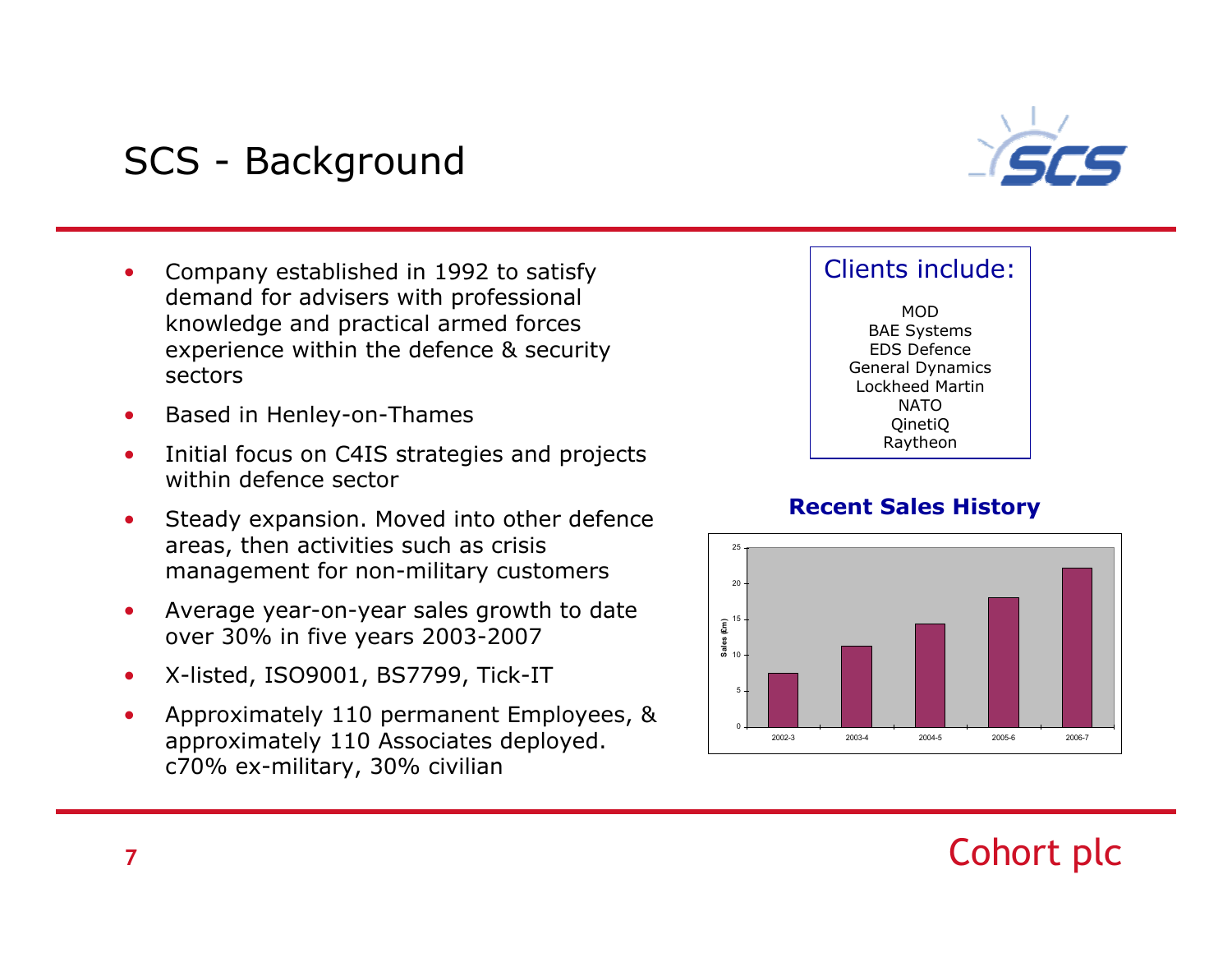#### SCS - Background



- • Company established in 1992 to satisfy demand for advisers with professional knowledge and practical armed forces experience within the defence & security sectors
- •Based in Henley-on-Thames
- • Initial focus on C4IS strategies and projects within defence sector
- • Steady expansion. Moved into other defence areas, then activities such as crisis management for non-military customers
- • Average year-on-year sales growth to date over 30% in five years 2003-2007
- •X-listed, ISO9001, BS7799, Tick-IT
- • Approximately 110 permanent Employees, & approximately 110 Associates deployed. c70% ex-military, 30% civilian

#### Clients include:

**MOD** BAE Systems EDS DefenceGeneral Dynamics Lockheed Martin**NATO** QinetiQ Raytheon



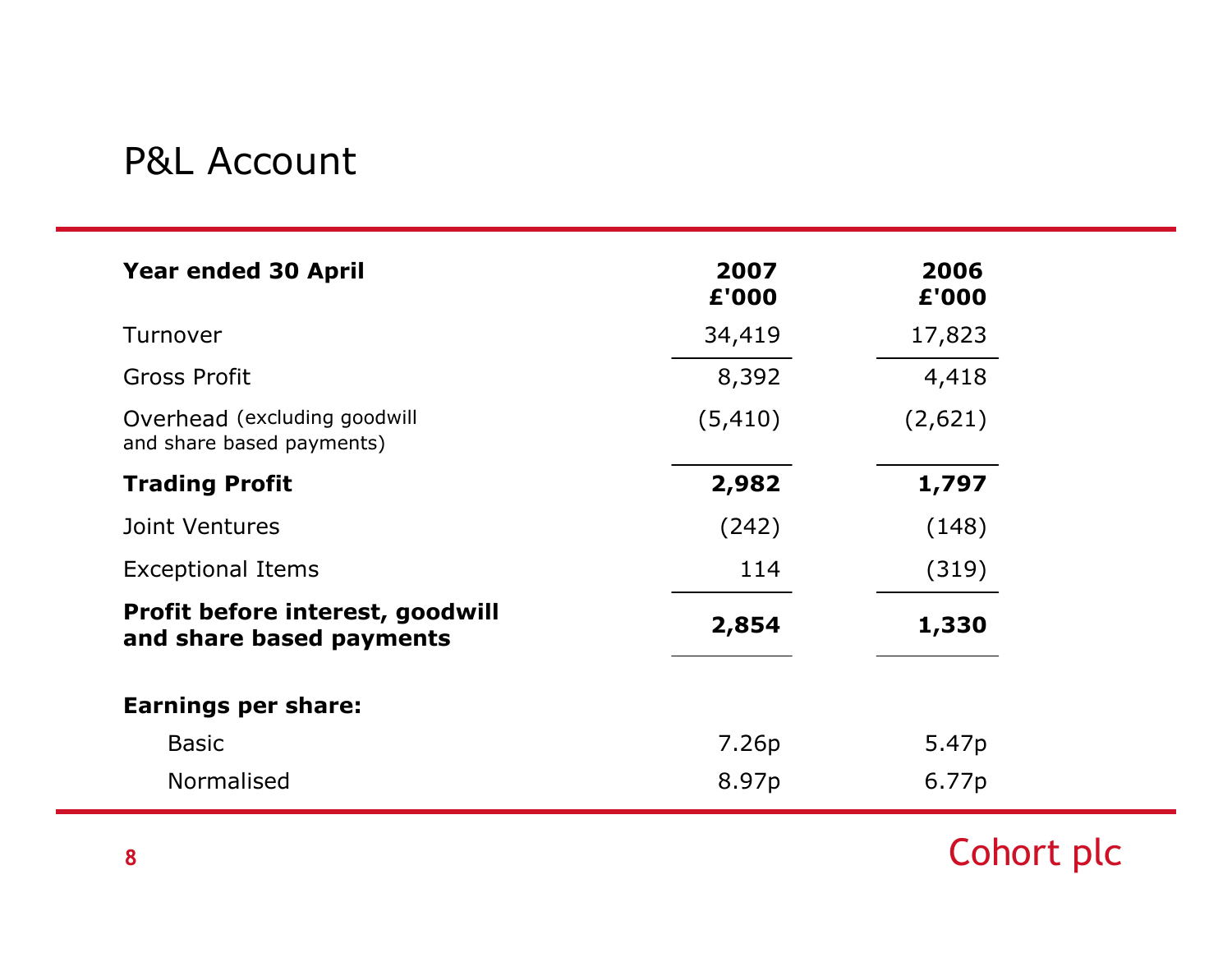#### P&L Account

| <b>Year ended 30 April</b>                                   | 2007<br>£'000 | 2006<br>£'000     |
|--------------------------------------------------------------|---------------|-------------------|
| Turnover                                                     | 34,419        | 17,823            |
| <b>Gross Profit</b>                                          | 8,392         | 4,418             |
| Overhead (excluding goodwill<br>and share based payments)    | (5, 410)      | (2,621)           |
| <b>Trading Profit</b>                                        | 2,982         | 1,797             |
| Joint Ventures                                               | (242)         | (148)             |
| <b>Exceptional Items</b>                                     | 114           | (319)             |
| Profit before interest, goodwill<br>and share based payments | 2,854         | 1,330             |
| <b>Earnings per share:</b>                                   |               |                   |
| <b>Basic</b>                                                 | 7.26p         | 5.47 <sub>p</sub> |
| <b>Normalised</b>                                            | 8.97p         | 6.77p             |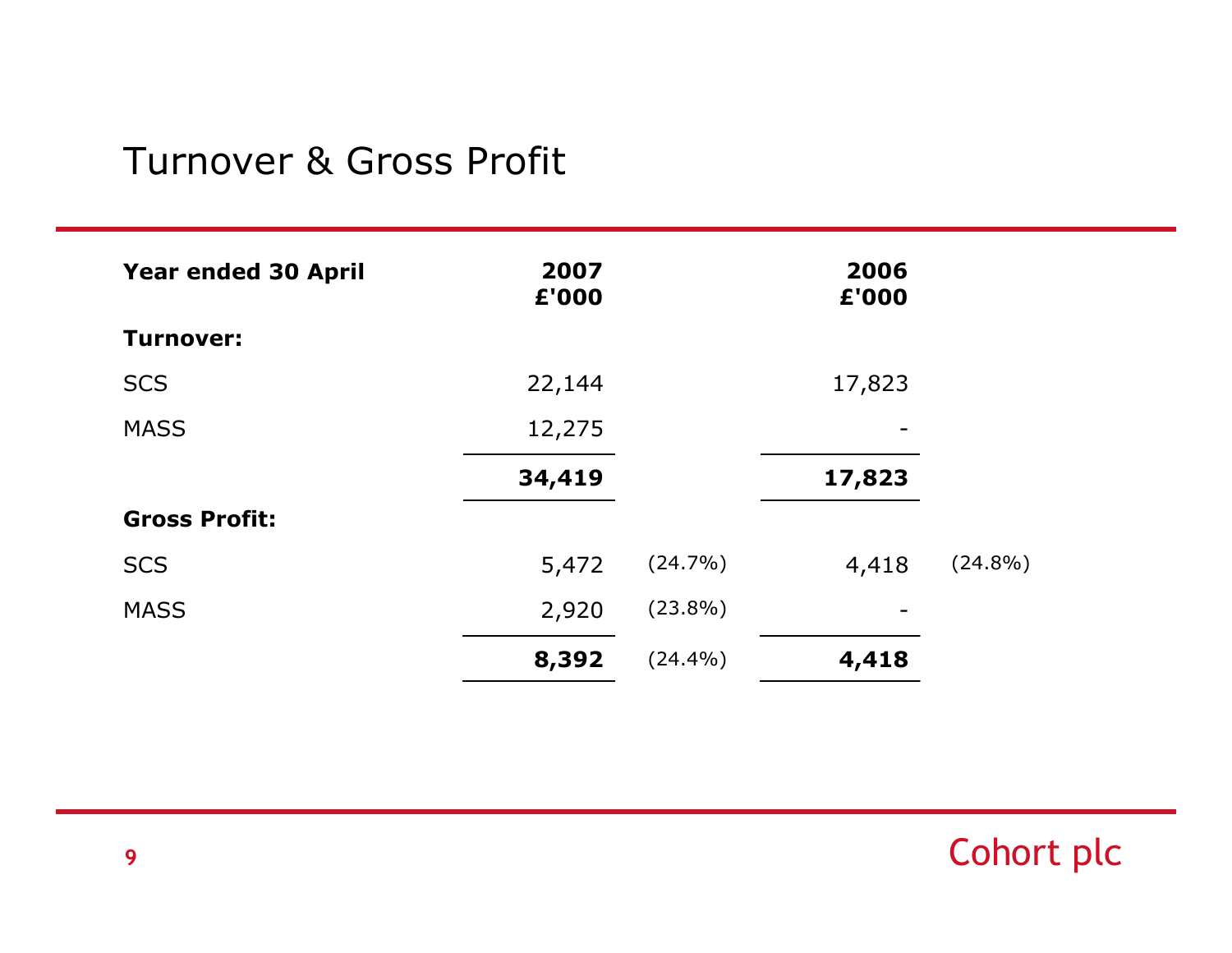#### Turnover & Gross Profit

| <b>Year ended 30 April</b> | 2007<br>£'000 |            | 2006<br>£'000 |            |
|----------------------------|---------------|------------|---------------|------------|
| <b>Turnover:</b>           |               |            |               |            |
| <b>SCS</b>                 | 22,144        |            | 17,823        |            |
| <b>MASS</b>                | 12,275        |            |               |            |
|                            | 34,419        |            | 17,823        |            |
| <b>Gross Profit:</b>       |               |            |               |            |
| <b>SCS</b>                 | 5,472         | $(24.7\%)$ | 4,418         | $(24.8\%)$ |
| <b>MASS</b>                | 2,920         | $(23.8\%)$ |               |            |
|                            | 8,392         | $(24.4\%)$ | 4,418         |            |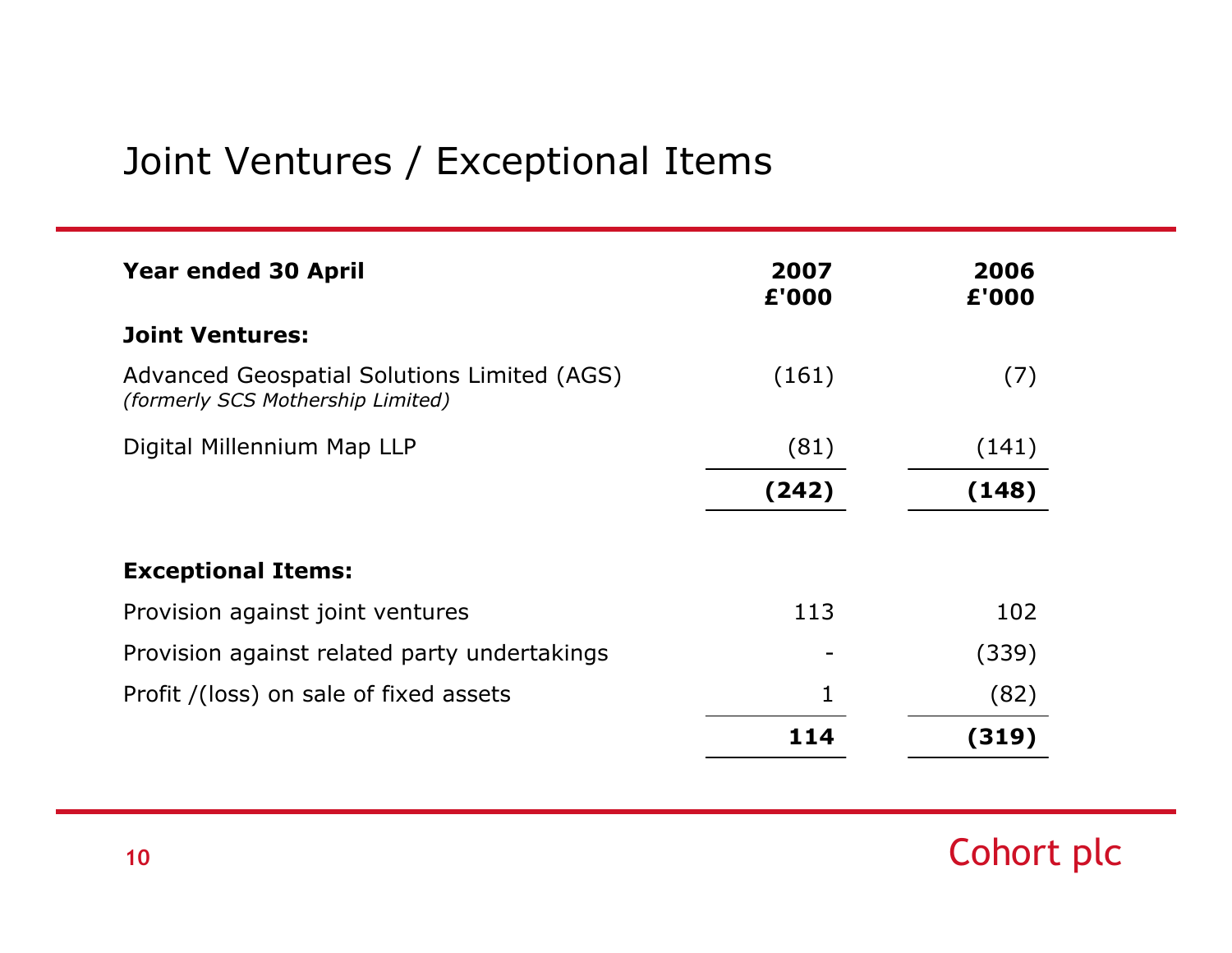## Joint Ventures / Exceptional Items

| <b>Year ended 30 April</b>                                                       | 2007<br>£'000 | 2006<br>£'000 |
|----------------------------------------------------------------------------------|---------------|---------------|
| <b>Joint Ventures:</b>                                                           |               |               |
| Advanced Geospatial Solutions Limited (AGS)<br>(formerly SCS Mothership Limited) | (161)         | (7)           |
| Digital Millennium Map LLP                                                       | (81)          | (141)         |
|                                                                                  | (242)         | (148)         |
|                                                                                  |               |               |
| <b>Exceptional Items:</b>                                                        |               |               |
| Provision against joint ventures                                                 | 113           | 102           |
| Provision against related party undertakings                                     |               | (339)         |
| Profit /(loss) on sale of fixed assets                                           | 1             | (82)          |
|                                                                                  | 114           | (319)         |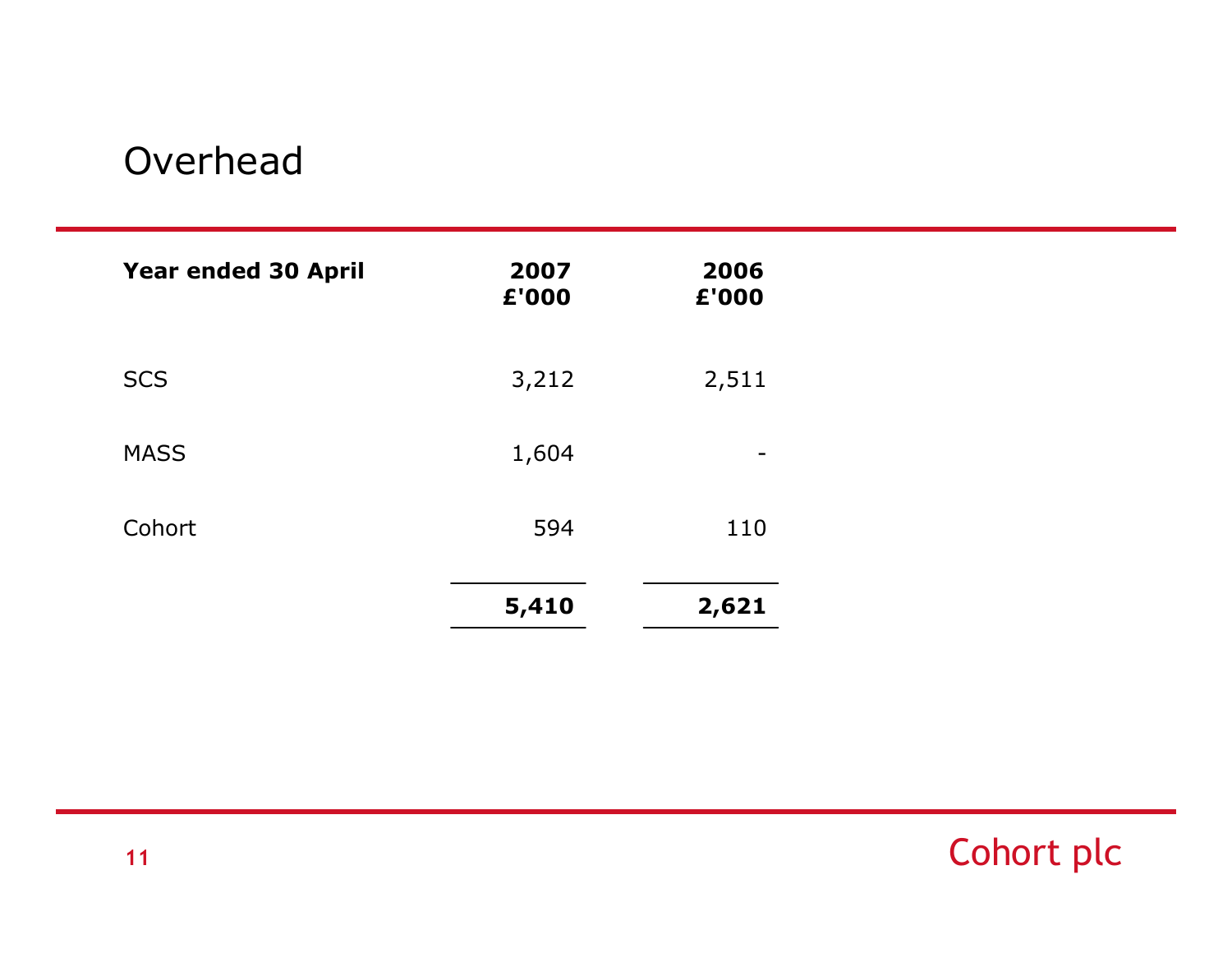#### Overhead

| <b>Year ended 30 April</b> | 2007<br>£'000 | 2006<br>£'000 |
|----------------------------|---------------|---------------|
| <b>SCS</b>                 | 3,212         | 2,511         |
| <b>MASS</b>                | 1,604         |               |
| Cohort                     | 594           | 110           |
|                            | 5,410         | 2,621         |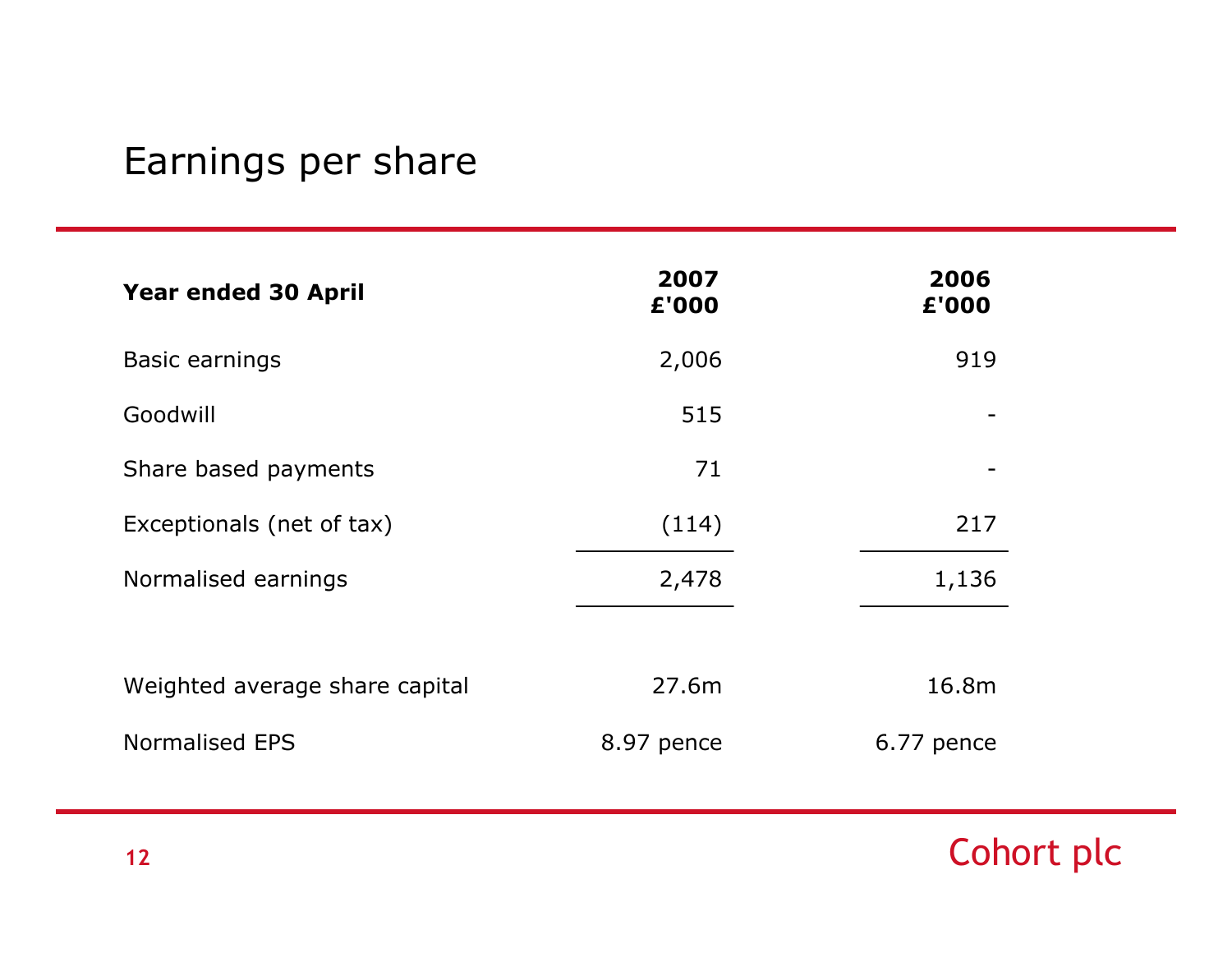#### Earnings per share

| <b>Year ended 30 April</b>     | 2007<br>£'000 | 2006<br>£'000 |
|--------------------------------|---------------|---------------|
| <b>Basic earnings</b>          | 2,006         | 919           |
| Goodwill                       | 515           |               |
| Share based payments           | 71            |               |
| Exceptionals (net of tax)      | (114)         | 217           |
| Normalised earnings            | 2,478         | 1,136         |
|                                |               |               |
| Weighted average share capital | 27.6m         | 16.8m         |
| <b>Normalised EPS</b>          | 8.97 pence    | 6.77 pence    |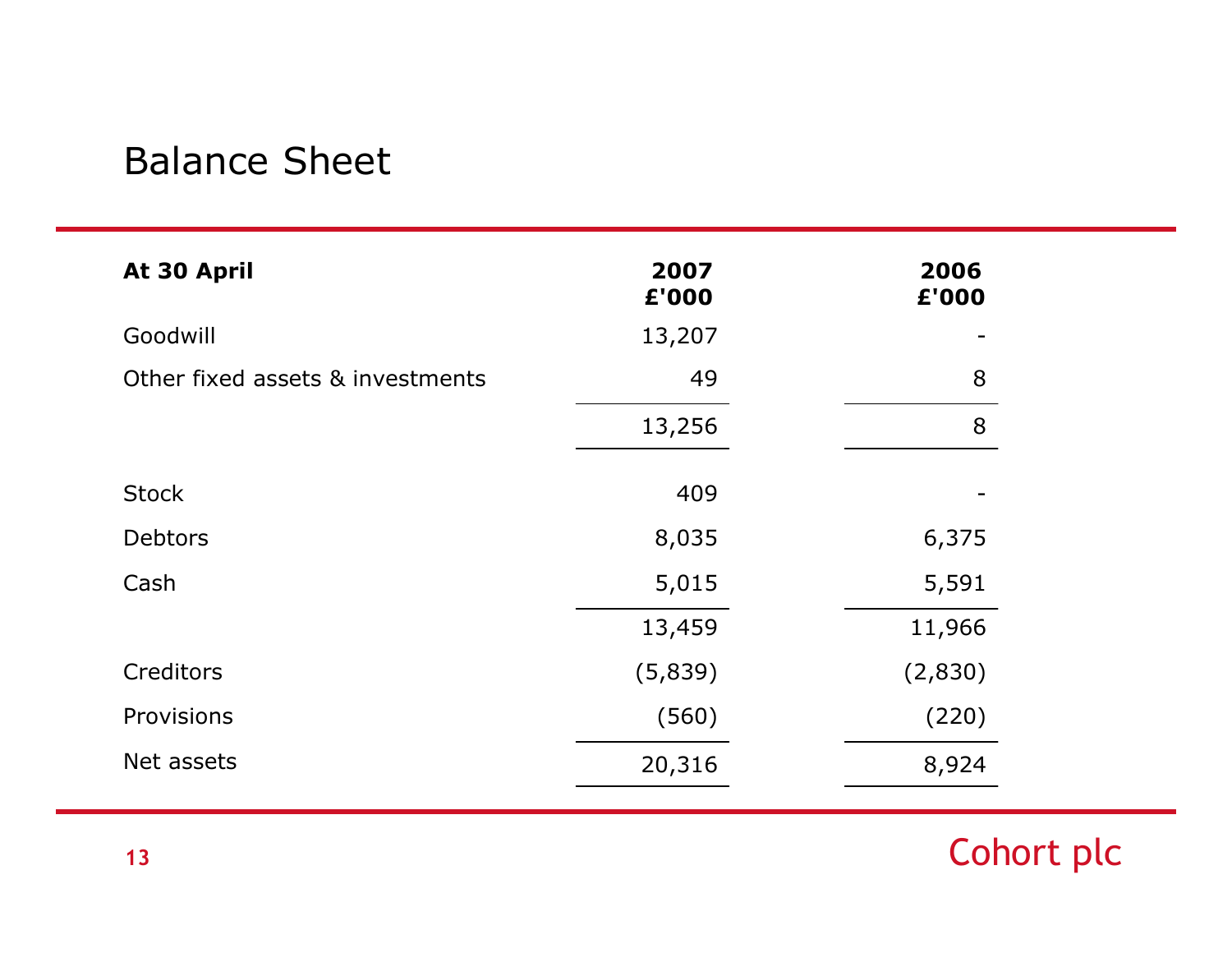#### Balance Sheet

| At 30 April                      | 2007<br>£'000 | 2006<br>£'000 |
|----------------------------------|---------------|---------------|
| Goodwill                         | 13,207        |               |
| Other fixed assets & investments | 49            | 8             |
|                                  | 13,256        | 8             |
| <b>Stock</b>                     | 409           |               |
| <b>Debtors</b>                   | 8,035         | 6,375         |
| Cash                             | 5,015         | 5,591         |
|                                  | 13,459        | 11,966        |
| Creditors                        | (5,839)       | (2,830)       |
| Provisions                       | (560)         | (220)         |
| Net assets                       | 20,316        | 8,924         |
|                                  |               |               |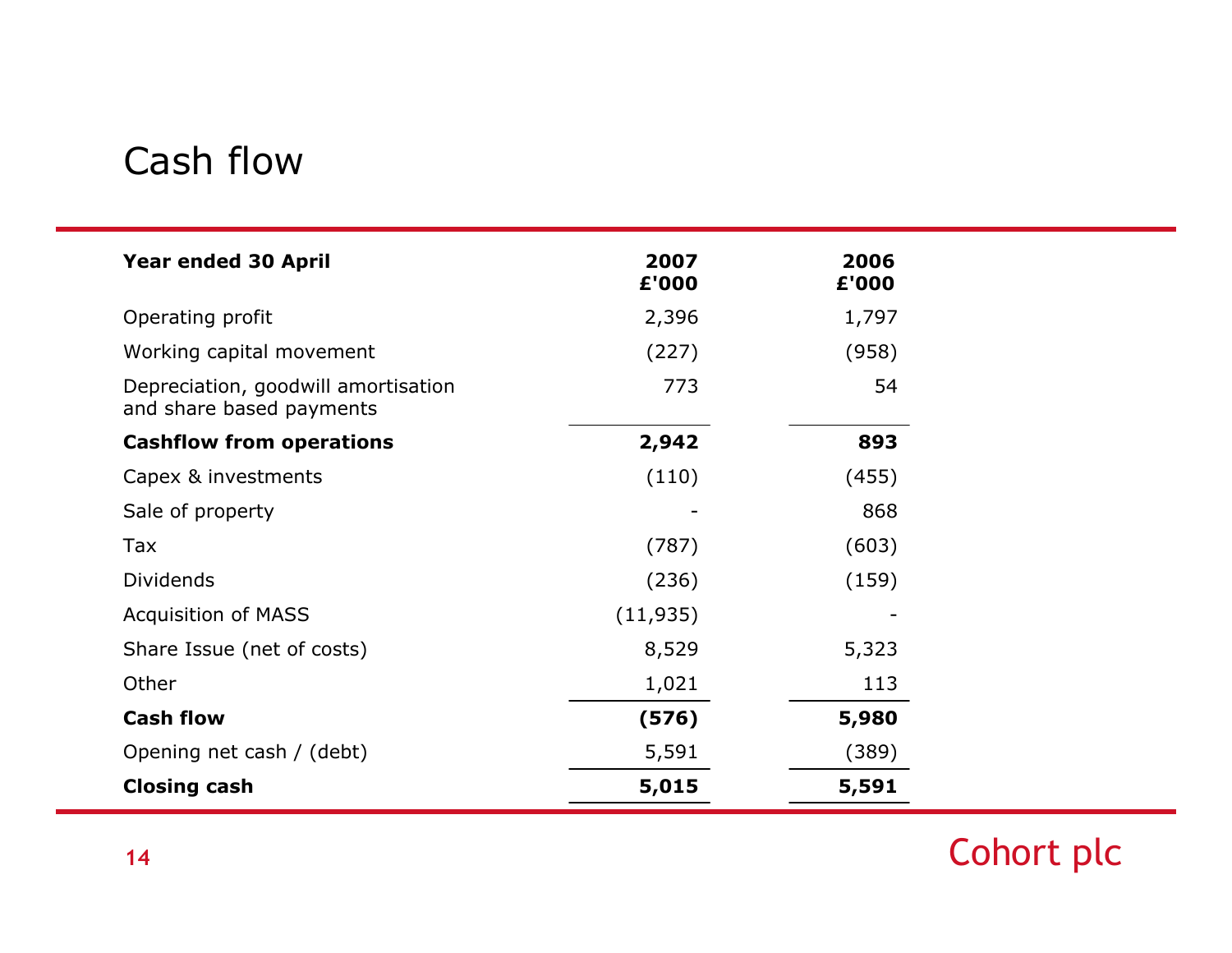#### Cash flow

| <b>Year ended 30 April</b>                                      | 2007<br>£'000 | 2006<br>£'000 |
|-----------------------------------------------------------------|---------------|---------------|
| Operating profit                                                | 2,396         | 1,797         |
| Working capital movement                                        | (227)         | (958)         |
| Depreciation, goodwill amortisation<br>and share based payments | 773           | 54            |
| <b>Cashflow from operations</b>                                 | 2,942         | 893           |
| Capex & investments                                             | (110)         | (455)         |
| Sale of property                                                |               | 868           |
| Tax                                                             | (787)         | (603)         |
| <b>Dividends</b>                                                | (236)         | (159)         |
| <b>Acquisition of MASS</b>                                      | (11, 935)     |               |
| Share Issue (net of costs)                                      | 8,529         | 5,323         |
| Other                                                           | 1,021         | 113           |
| <b>Cash flow</b>                                                | (576)         | 5,980         |
| Opening net cash / (debt)                                       | 5,591         | (389)         |
| <b>Closing cash</b>                                             | 5,015         | 5,591         |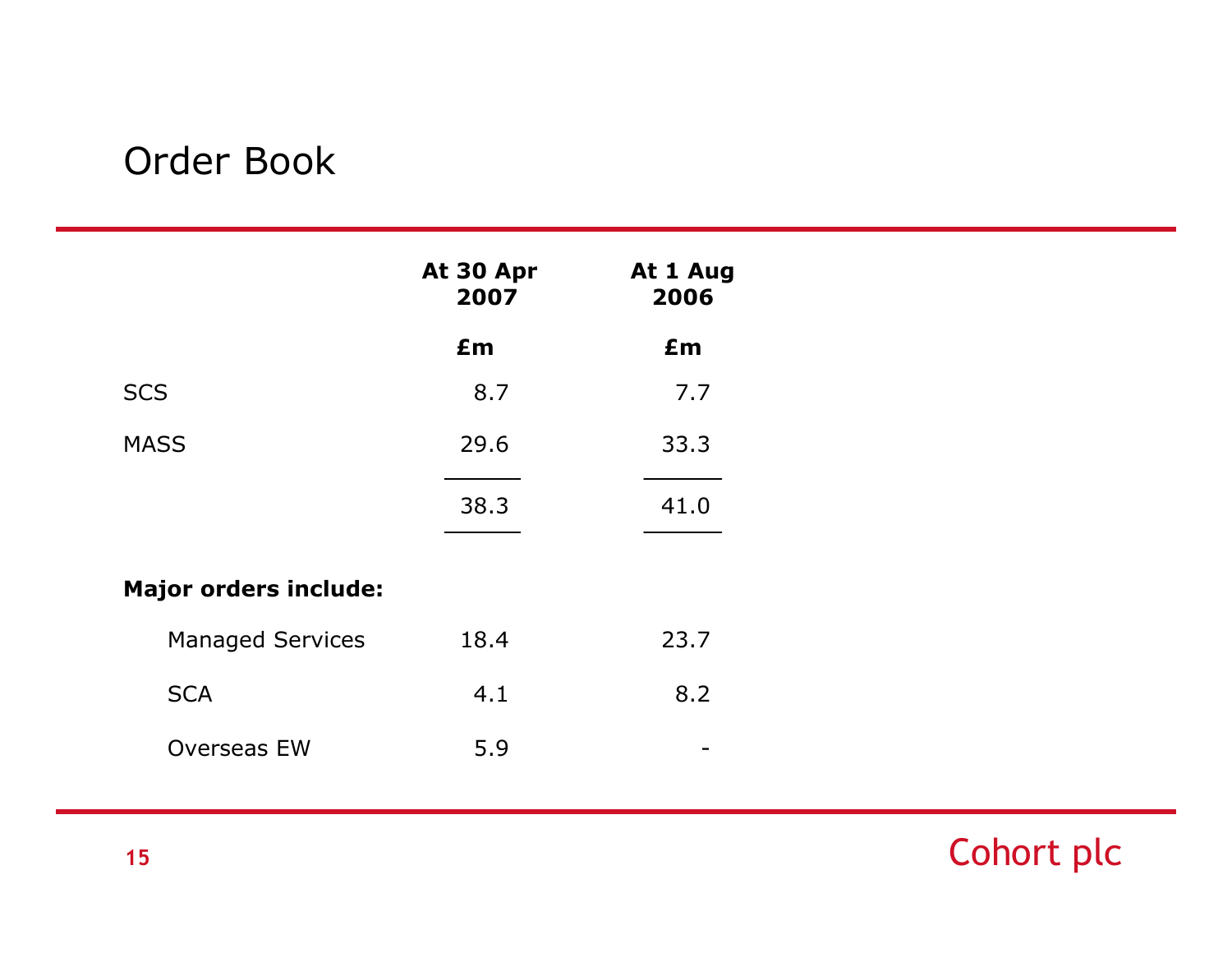#### Order Book

|                              | At 30 Apr<br>2007 | At 1 Aug<br>2006 |
|------------------------------|-------------------|------------------|
|                              | £m                | £m               |
| <b>SCS</b>                   | 8.7               | 7.7              |
| <b>MASS</b>                  | 29.6              | 33.3             |
|                              | 38.3              | 41.0             |
| <b>Major orders include:</b> |                   |                  |
| <b>Managed Services</b>      | 18.4              | 23.7             |
| <b>SCA</b>                   | 4.1               | 8.2              |
| <b>Overseas EW</b>           | 5.9               |                  |